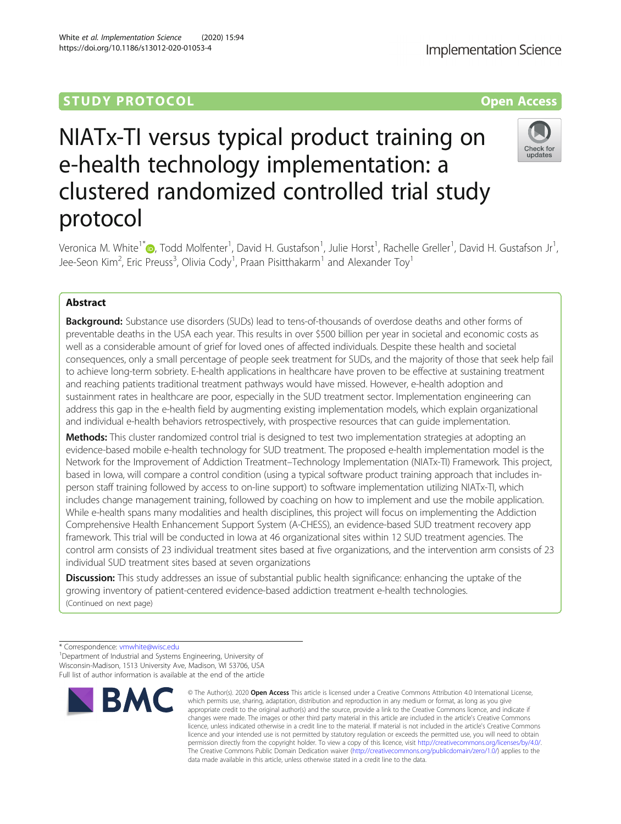# **STUDY PROTOCOL CONSUMING THE RESERVE ACCESS**

# NIATx-TI versus typical product training on e-health technology implementation: a clustered randomized controlled trial study protocol

Veronica M. White<sup>1\*</sup> $\bullet$ [,](http://orcid.org/0000-0002-3008-8213) Todd Molfenter<sup>1</sup>, David H. Gustafson<sup>1</sup>, Julie Horst<sup>1</sup>, Rachelle Greller<sup>1</sup>, David H. Gustafson Jr<sup>1</sup> , Jee-Seon Kim<sup>2</sup>, Eric Preuss<sup>3</sup>, Olivia Cody<sup>1</sup>, Praan Pisitthakarm<sup>1</sup> and Alexander Toy<sup>1</sup>

## Abstract

**Background:** Substance use disorders (SUDs) lead to tens-of-thousands of overdose deaths and other forms of preventable deaths in the USA each year. This results in over \$500 billion per year in societal and economic costs as well as a considerable amount of grief for loved ones of affected individuals. Despite these health and societal consequences, only a small percentage of people seek treatment for SUDs, and the majority of those that seek help fail to achieve long-term sobriety. E-health applications in healthcare have proven to be effective at sustaining treatment and reaching patients traditional treatment pathways would have missed. However, e-health adoption and sustainment rates in healthcare are poor, especially in the SUD treatment sector. Implementation engineering can address this gap in the e-health field by augmenting existing implementation models, which explain organizational and individual e-health behaviors retrospectively, with prospective resources that can guide implementation.

Methods: This cluster randomized control trial is designed to test two implementation strategies at adopting an evidence-based mobile e-health technology for SUD treatment. The proposed e-health implementation model is the Network for the Improvement of Addiction Treatment–Technology Implementation (NIATx-TI) Framework. This project, based in Iowa, will compare a control condition (using a typical software product training approach that includes inperson staff training followed by access to on-line support) to software implementation utilizing NIATx-TI, which includes change management training, followed by coaching on how to implement and use the mobile application. While e-health spans many modalities and health disciplines, this project will focus on implementing the Addiction Comprehensive Health Enhancement Support System (A-CHESS), an evidence-based SUD treatment recovery app framework. This trial will be conducted in Iowa at 46 organizational sites within 12 SUD treatment agencies. The control arm consists of 23 individual treatment sites based at five organizations, and the intervention arm consists of 23 individual SUD treatment sites based at seven organizations

Discussion: This study addresses an issue of substantial public health significance: enhancing the uptake of the growing inventory of patient-centered evidence-based addiction treatment e-health technologies. (Continued on next page)







<sup>\*</sup> Correspondence: [vmwhite@wisc.edu](mailto:vmwhite@wisc.edu) <sup>1</sup> <sup>1</sup>Department of Industrial and Systems Engineering, University of Wisconsin-Madison, 1513 University Ave, Madison, WI 53706, USA Full list of author information is available at the end of the article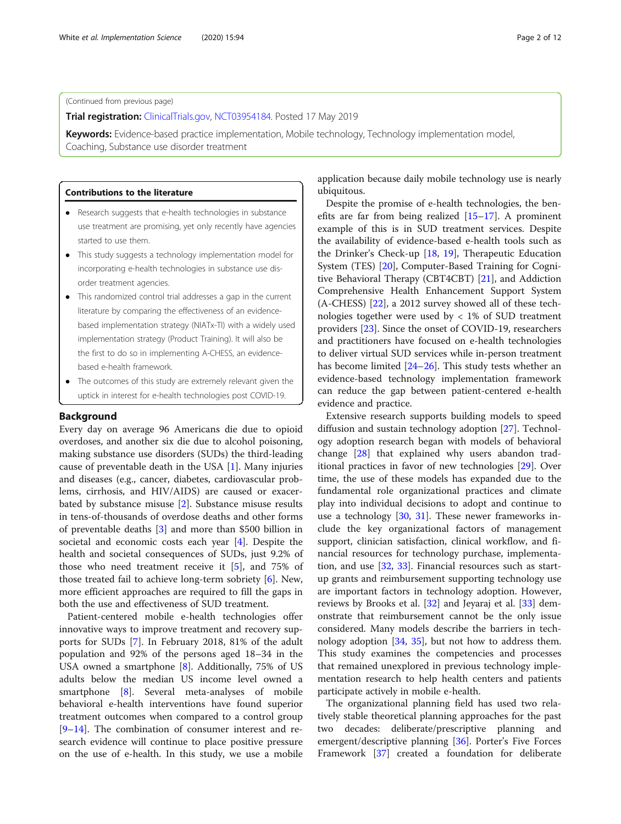**Trial registration:** [ClinicalTrials.gov,](http://clinicaltrials.gov) [NCT03954184.](https://clinicaltrials.gov/ct2/show/NCT03954184) Posted 17 May 2019

Keywords: Evidence-based practice implementation, Mobile technology, Technology implementation model, Coaching, Substance use disorder treatment

#### Contributions to the literature

- Research suggests that e-health technologies in substance use treatment are promising, yet only recently have agencies started to use them.
- This study suggests a technology implementation model for incorporating e-health technologies in substance use disorder treatment agencies.
- This randomized control trial addresses a gap in the current literature by comparing the effectiveness of an evidencebased implementation strategy (NIATx-TI) with a widely used implementation strategy (Product Training). It will also be the first to do so in implementing A-CHESS, an evidencebased e-health framework.
- The outcomes of this study are extremely relevant given the uptick in interest for e-health technologies post COVID-19.

#### Background

Every day on average 96 Americans die due to opioid overdoses, and another six die due to alcohol poisoning, making substance use disorders (SUDs) the third-leading cause of preventable death in the USA [[1\]](#page-9-0). Many injuries and diseases (e.g., cancer, diabetes, cardiovascular problems, cirrhosis, and HIV/AIDS) are caused or exacerbated by substance misuse [[2\]](#page-9-0). Substance misuse results in tens-of-thousands of overdose deaths and other forms of preventable deaths [\[3](#page-9-0)] and more than \$500 billion in societal and economic costs each year [[4\]](#page-9-0). Despite the health and societal consequences of SUDs, just 9.2% of those who need treatment receive it [[5](#page-9-0)], and 75% of those treated fail to achieve long-term sobriety [\[6](#page-9-0)]. New, more efficient approaches are required to fill the gaps in both the use and effectiveness of SUD treatment.

Patient-centered mobile e-health technologies offer innovative ways to improve treatment and recovery supports for SUDs [[7](#page-9-0)]. In February 2018, 81% of the adult population and 92% of the persons aged 18–34 in the USA owned a smartphone [\[8](#page-9-0)]. Additionally, 75% of US adults below the median US income level owned a smartphone [[8](#page-9-0)]. Several meta-analyses of mobile behavioral e-health interventions have found superior treatment outcomes when compared to a control group [[9](#page-9-0)–[14\]](#page-10-0). The combination of consumer interest and research evidence will continue to place positive pressure on the use of e-health. In this study, we use a mobile application because daily mobile technology use is nearly ubiquitous.

Despite the promise of e-health technologies, the benefits are far from being realized  $[15-17]$  $[15-17]$  $[15-17]$  $[15-17]$  $[15-17]$ . A prominent example of this is in SUD treatment services. Despite the availability of evidence-based e-health tools such as the Drinker's Check-up [[18](#page-10-0), [19](#page-10-0)], Therapeutic Education System (TES) [[20](#page-10-0)], Computer-Based Training for Cognitive Behavioral Therapy (CBT4CBT) [\[21](#page-10-0)], and Addiction Comprehensive Health Enhancement Support System (A-CHESS) [[22\]](#page-10-0), a 2012 survey showed all of these technologies together were used by  $< 1\%$  of SUD treatment providers [[23\]](#page-10-0). Since the onset of COVID-19, researchers and practitioners have focused on e-health technologies to deliver virtual SUD services while in-person treatment has become limited [[24](#page-10-0)–[26](#page-10-0)]. This study tests whether an evidence-based technology implementation framework can reduce the gap between patient-centered e-health evidence and practice.

Extensive research supports building models to speed diffusion and sustain technology adoption [\[27\]](#page-10-0). Technology adoption research began with models of behavioral change [\[28](#page-10-0)] that explained why users abandon traditional practices in favor of new technologies [[29](#page-10-0)]. Over time, the use of these models has expanded due to the fundamental role organizational practices and climate play into individual decisions to adopt and continue to use a technology [[30](#page-10-0), [31](#page-10-0)]. These newer frameworks include the key organizational factors of management support, clinician satisfaction, clinical workflow, and financial resources for technology purchase, implementation, and use [[32](#page-10-0), [33](#page-10-0)]. Financial resources such as startup grants and reimbursement supporting technology use are important factors in technology adoption. However, reviews by Brooks et al. [\[32](#page-10-0)] and Jeyaraj et al. [[33\]](#page-10-0) demonstrate that reimbursement cannot be the only issue considered. Many models describe the barriers in technology adoption [[34,](#page-10-0) [35](#page-10-0)], but not how to address them. This study examines the competencies and processes that remained unexplored in previous technology implementation research to help health centers and patients participate actively in mobile e-health.

The organizational planning field has used two relatively stable theoretical planning approaches for the past two decades: deliberate/prescriptive planning and emergent/descriptive planning [\[36](#page-10-0)]. Porter's Five Forces Framework [\[37\]](#page-10-0) created a foundation for deliberate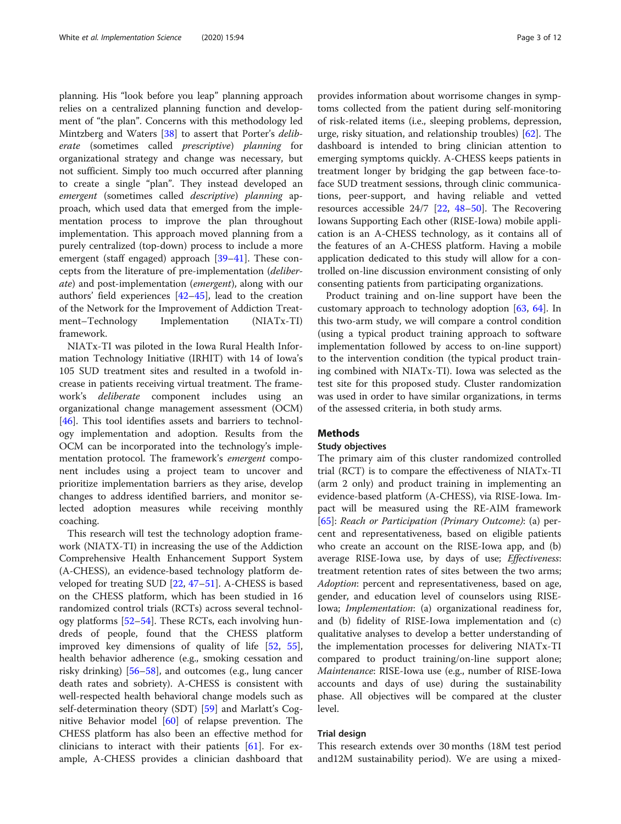planning. His "look before you leap" planning approach relies on a centralized planning function and development of "the plan". Concerns with this methodology led Mintzberg and Waters [\[38](#page-10-0)] to assert that Porter's *delib*erate (sometimes called prescriptive) planning for organizational strategy and change was necessary, but not sufficient. Simply too much occurred after planning to create a single "plan". They instead developed an emergent (sometimes called descriptive) planning approach, which used data that emerged from the implementation process to improve the plan throughout implementation. This approach moved planning from a purely centralized (top-down) process to include a more emergent (staff engaged) approach [[39](#page-10-0)–[41](#page-10-0)]. These concepts from the literature of pre-implementation (deliberate) and post-implementation (emergent), along with our authors' field experiences [[42](#page-10-0)–[45\]](#page-10-0), lead to the creation of the Network for the Improvement of Addiction Treatment–Technology Implementation (NIATx-TI) framework.

NIATx-TI was piloted in the Iowa Rural Health Information Technology Initiative (IRHIT) with 14 of Iowa's 105 SUD treatment sites and resulted in a twofold increase in patients receiving virtual treatment. The framework's deliberate component includes using an organizational change management assessment (OCM) [[46\]](#page-10-0). This tool identifies assets and barriers to technology implementation and adoption. Results from the OCM can be incorporated into the technology's implementation protocol. The framework's emergent component includes using a project team to uncover and prioritize implementation barriers as they arise, develop changes to address identified barriers, and monitor selected adoption measures while receiving monthly coaching.

This research will test the technology adoption framework (NIATX-TI) in increasing the use of the Addiction Comprehensive Health Enhancement Support System (A-CHESS), an evidence-based technology platform developed for treating SUD [[22,](#page-10-0) [47](#page-10-0)–[51\]](#page-10-0). A-CHESS is based on the CHESS platform, which has been studied in 16 randomized control trials (RCTs) across several technology platforms [\[52](#page-10-0)–[54\]](#page-10-0). These RCTs, each involving hundreds of people, found that the CHESS platform improved key dimensions of quality of life [\[52](#page-10-0), [55](#page-10-0)], health behavior adherence (e.g., smoking cessation and risky drinking) [[56](#page-10-0)–[58](#page-11-0)], and outcomes (e.g., lung cancer death rates and sobriety). A-CHESS is consistent with well-respected health behavioral change models such as self-determination theory (SDT) [\[59\]](#page-11-0) and Marlatt's Cognitive Behavior model [[60\]](#page-11-0) of relapse prevention. The CHESS platform has also been an effective method for clinicians to interact with their patients [\[61\]](#page-11-0). For example, A-CHESS provides a clinician dashboard that

provides information about worrisome changes in symptoms collected from the patient during self-monitoring of risk-related items (i.e., sleeping problems, depression, urge, risky situation, and relationship troubles) [[62\]](#page-11-0). The dashboard is intended to bring clinician attention to emerging symptoms quickly. A-CHESS keeps patients in treatment longer by bridging the gap between face-toface SUD treatment sessions, through clinic communications, peer-support, and having reliable and vetted resources accessible 24/7 [\[22](#page-10-0), [48](#page-10-0)–[50\]](#page-10-0). The Recovering Iowans Supporting Each other (RISE-Iowa) mobile application is an A-CHESS technology, as it contains all of the features of an A-CHESS platform. Having a mobile application dedicated to this study will allow for a controlled on-line discussion environment consisting of only consenting patients from participating organizations.

Product training and on-line support have been the customary approach to technology adoption [\[63](#page-11-0), [64\]](#page-11-0). In this two-arm study, we will compare a control condition (using a typical product training approach to software implementation followed by access to on-line support) to the intervention condition (the typical product training combined with NIATx-TI). Iowa was selected as the test site for this proposed study. Cluster randomization was used in order to have similar organizations, in terms of the assessed criteria, in both study arms.

#### Methods

#### Study objectives

The primary aim of this cluster randomized controlled trial (RCT) is to compare the effectiveness of NIATx-TI (arm 2 only) and product training in implementing an evidence-based platform (A-CHESS), via RISE-Iowa. Impact will be measured using the RE-AIM framework [[65\]](#page-11-0): Reach or Participation (Primary Outcome): (a) percent and representativeness, based on eligible patients who create an account on the RISE-Iowa app, and (b) average RISE-Iowa use, by days of use; Effectiveness: treatment retention rates of sites between the two arms; Adoption: percent and representativeness, based on age, gender, and education level of counselors using RISE-Iowa; Implementation: (a) organizational readiness for, and (b) fidelity of RISE-Iowa implementation and (c) qualitative analyses to develop a better understanding of the implementation processes for delivering NIATx-TI compared to product training/on-line support alone; Maintenance: RISE-Iowa use (e.g., number of RISE-Iowa accounts and days of use) during the sustainability phase. All objectives will be compared at the cluster level.

#### Trial design

This research extends over 30 months (18M test period and12M sustainability period). We are using a mixed-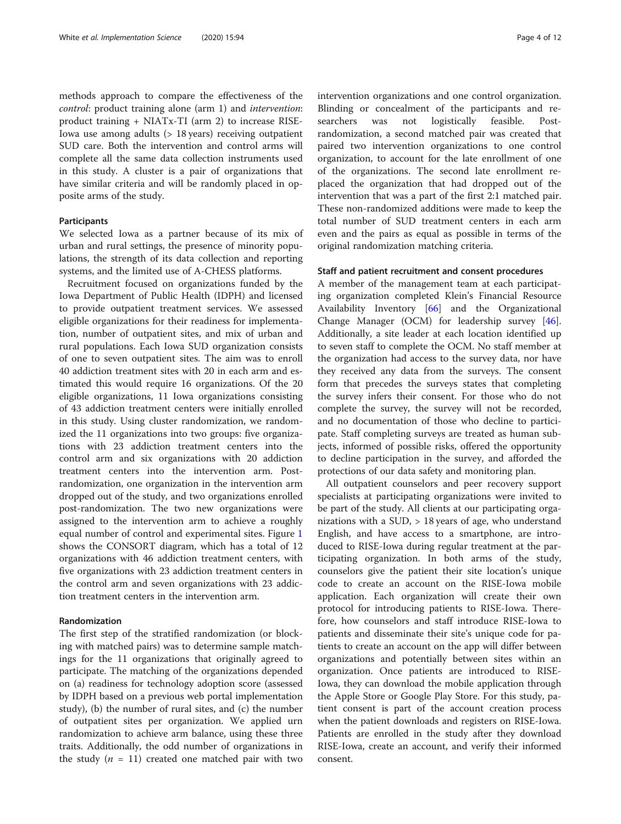methods approach to compare the effectiveness of the control: product training alone (arm 1) and intervention: product training + NIATx-TI (arm 2) to increase RISE-Iowa use among adults (> 18 years) receiving outpatient SUD care. Both the intervention and control arms will complete all the same data collection instruments used in this study. A cluster is a pair of organizations that have similar criteria and will be randomly placed in opposite arms of the study.

#### Participants

We selected Iowa as a partner because of its mix of urban and rural settings, the presence of minority populations, the strength of its data collection and reporting systems, and the limited use of A-CHESS platforms.

Recruitment focused on organizations funded by the Iowa Department of Public Health (IDPH) and licensed to provide outpatient treatment services. We assessed eligible organizations for their readiness for implementation, number of outpatient sites, and mix of urban and rural populations. Each Iowa SUD organization consists of one to seven outpatient sites. The aim was to enroll 40 addiction treatment sites with 20 in each arm and estimated this would require 16 organizations. Of the 20 eligible organizations, 11 Iowa organizations consisting of 43 addiction treatment centers were initially enrolled in this study. Using cluster randomization, we randomized the 11 organizations into two groups: five organizations with 23 addiction treatment centers into the control arm and six organizations with 20 addiction treatment centers into the intervention arm. Postrandomization, one organization in the intervention arm dropped out of the study, and two organizations enrolled post-randomization. The two new organizations were assigned to the intervention arm to achieve a roughly equal number of control and experimental sites. Figure [1](#page-4-0) shows the CONSORT diagram, which has a total of 12 organizations with 46 addiction treatment centers, with five organizations with 23 addiction treatment centers in the control arm and seven organizations with 23 addiction treatment centers in the intervention arm.

#### Randomization

The first step of the stratified randomization (or blocking with matched pairs) was to determine sample matchings for the 11 organizations that originally agreed to participate. The matching of the organizations depended on (a) readiness for technology adoption score (assessed by IDPH based on a previous web portal implementation study), (b) the number of rural sites, and (c) the number of outpatient sites per organization. We applied urn randomization to achieve arm balance, using these three traits. Additionally, the odd number of organizations in the study ( $n = 11$ ) created one matched pair with two intervention organizations and one control organization. Blinding or concealment of the participants and researchers was not logistically feasible. Postrandomization, a second matched pair was created that paired two intervention organizations to one control organization, to account for the late enrollment of one of the organizations. The second late enrollment replaced the organization that had dropped out of the intervention that was a part of the first 2:1 matched pair. These non-randomized additions were made to keep the total number of SUD treatment centers in each arm even and the pairs as equal as possible in terms of the original randomization matching criteria.

#### Staff and patient recruitment and consent procedures

A member of the management team at each participating organization completed Klein's Financial Resource Availability Inventory [[66\]](#page-11-0) and the Organizational Change Manager (OCM) for leadership survey [\[46](#page-10-0)]. Additionally, a site leader at each location identified up to seven staff to complete the OCM. No staff member at the organization had access to the survey data, nor have they received any data from the surveys. The consent form that precedes the surveys states that completing the survey infers their consent. For those who do not complete the survey, the survey will not be recorded, and no documentation of those who decline to participate. Staff completing surveys are treated as human subjects, informed of possible risks, offered the opportunity to decline participation in the survey, and afforded the protections of our data safety and monitoring plan.

All outpatient counselors and peer recovery support specialists at participating organizations were invited to be part of the study. All clients at our participating organizations with a SUD, > 18 years of age, who understand English, and have access to a smartphone, are introduced to RISE-Iowa during regular treatment at the participating organization. In both arms of the study, counselors give the patient their site location's unique code to create an account on the RISE-Iowa mobile application. Each organization will create their own protocol for introducing patients to RISE-Iowa. Therefore, how counselors and staff introduce RISE-Iowa to patients and disseminate their site's unique code for patients to create an account on the app will differ between organizations and potentially between sites within an organization. Once patients are introduced to RISE-Iowa, they can download the mobile application through the Apple Store or Google Play Store. For this study, patient consent is part of the account creation process when the patient downloads and registers on RISE-Iowa. Patients are enrolled in the study after they download RISE-Iowa, create an account, and verify their informed consent.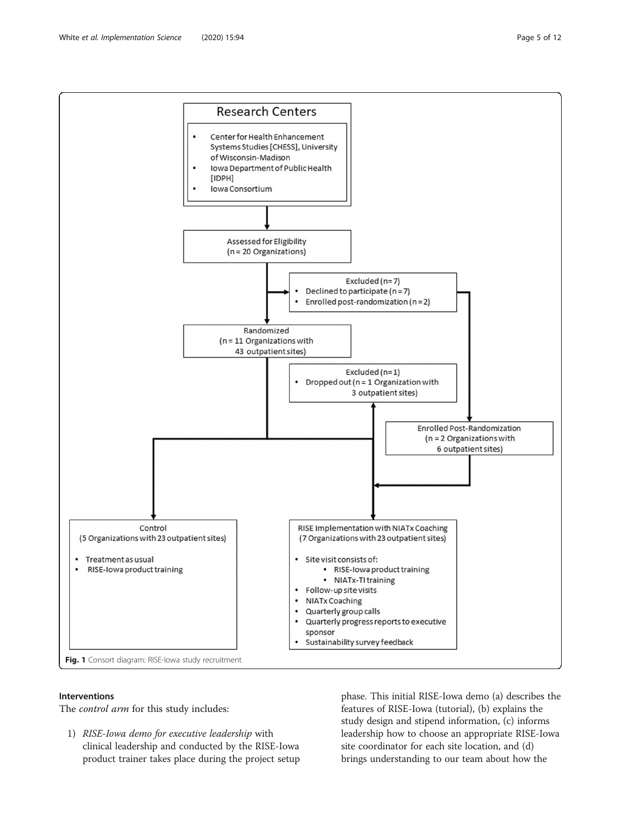<span id="page-4-0"></span>

#### Interventions

The *control arm* for this study includes:

1) RISE-Iowa demo for executive leadership with clinical leadership and conducted by the RISE-Iowa product trainer takes place during the project setup

phase. This initial RISE-Iowa demo (a) describes the features of RISE-Iowa (tutorial), (b) explains the study design and stipend information, (c) informs leadership how to choose an appropriate RISE-Iowa site coordinator for each site location, and (d) brings understanding to our team about how the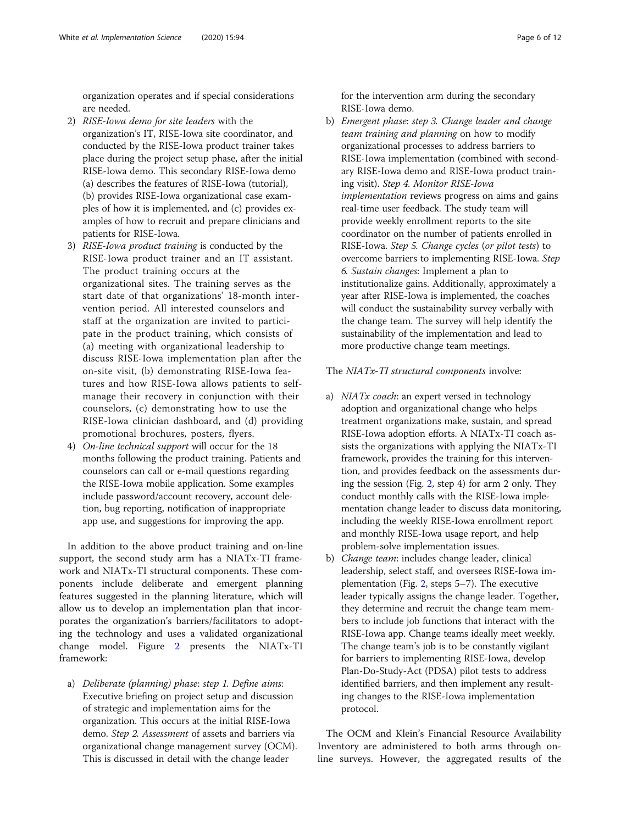organization operates and if special considerations are needed.

- 2) RISE-Iowa demo for site leaders with the organization's IT, RISE-Iowa site coordinator, and conducted by the RISE-Iowa product trainer takes place during the project setup phase, after the initial RISE-Iowa demo. This secondary RISE-Iowa demo (a) describes the features of RISE-Iowa (tutorial), (b) provides RISE-Iowa organizational case examples of how it is implemented, and (c) provides examples of how to recruit and prepare clinicians and patients for RISE-Iowa.
- 3) RISE-Iowa product training is conducted by the RISE-Iowa product trainer and an IT assistant. The product training occurs at the organizational sites. The training serves as the start date of that organizations' 18-month intervention period. All interested counselors and staff at the organization are invited to participate in the product training, which consists of (a) meeting with organizational leadership to discuss RISE-Iowa implementation plan after the on-site visit, (b) demonstrating RISE-Iowa features and how RISE-Iowa allows patients to selfmanage their recovery in conjunction with their counselors, (c) demonstrating how to use the RISE-Iowa clinician dashboard, and (d) providing promotional brochures, posters, flyers.
- 4) On-line technical support will occur for the 18 months following the product training. Patients and counselors can call or e-mail questions regarding the RISE-Iowa mobile application. Some examples include password/account recovery, account deletion, bug reporting, notification of inappropriate app use, and suggestions for improving the app.

In addition to the above product training and on-line support, the second study arm has a NIATx-TI framework and NIATx-TI structural components. These components include deliberate and emergent planning features suggested in the planning literature, which will allow us to develop an implementation plan that incorporates the organization's barriers/facilitators to adopting the technology and uses a validated organizational change model. Figure [2](#page-6-0) presents the NIATx-TI framework:

a) Deliberate (planning) phase: step 1. Define aims: Executive briefing on project setup and discussion of strategic and implementation aims for the organization. This occurs at the initial RISE-Iowa demo. Step 2. Assessment of assets and barriers via organizational change management survey (OCM). This is discussed in detail with the change leader

for the intervention arm during the secondary RISE-Iowa demo.

b) Emergent phase: step 3. Change leader and change team training and planning on how to modify organizational processes to address barriers to RISE-Iowa implementation (combined with secondary RISE-Iowa demo and RISE-Iowa product training visit). Step 4. Monitor RISE-Iowa implementation reviews progress on aims and gains real-time user feedback. The study team will provide weekly enrollment reports to the site coordinator on the number of patients enrolled in RISE-Iowa. Step 5. Change cycles (or pilot tests) to overcome barriers to implementing RISE-Iowa. Step 6. Sustain changes: Implement a plan to institutionalize gains. Additionally, approximately a year after RISE-Iowa is implemented, the coaches will conduct the sustainability survey verbally with the change team. The survey will help identify the sustainability of the implementation and lead to more productive change team meetings.

### The *NIATx-TI* structural components involve:

- a) *NIATx coach*: an expert versed in technology adoption and organizational change who helps treatment organizations make, sustain, and spread RISE-Iowa adoption efforts. A NIATx-TI coach assists the organizations with applying the NIATx-TI framework, provides the training for this intervention, and provides feedback on the assessments during the session (Fig. [2,](#page-6-0) step 4) for arm 2 only. They conduct monthly calls with the RISE-Iowa implementation change leader to discuss data monitoring, including the weekly RISE-Iowa enrollment report and monthly RISE-Iowa usage report, and help problem-solve implementation issues.
- b) Change team: includes change leader, clinical leadership, select staff, and oversees RISE-Iowa implementation (Fig. [2](#page-6-0), steps 5–7). The executive leader typically assigns the change leader. Together, they determine and recruit the change team members to include job functions that interact with the RISE-Iowa app. Change teams ideally meet weekly. The change team's job is to be constantly vigilant for barriers to implementing RISE-Iowa, develop Plan-Do-Study-Act (PDSA) pilot tests to address identified barriers, and then implement any resulting changes to the RISE-Iowa implementation protocol.

The OCM and Klein's Financial Resource Availability Inventory are administered to both arms through online surveys. However, the aggregated results of the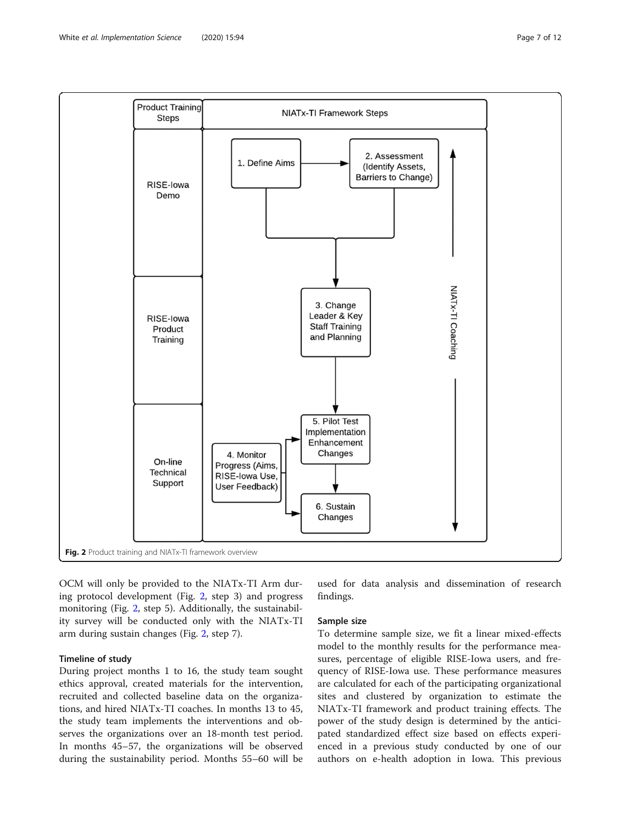<span id="page-6-0"></span>

OCM will only be provided to the NIATx-TI Arm during protocol development (Fig. 2, step 3) and progress monitoring (Fig. 2, step 5). Additionally, the sustainability survey will be conducted only with the NIATx-TI arm during sustain changes (Fig. 2, step 7).

#### Timeline of study

During project months 1 to 16, the study team sought ethics approval, created materials for the intervention, recruited and collected baseline data on the organizations, and hired NIATx-TI coaches. In months 13 to 45, the study team implements the interventions and observes the organizations over an 18-month test period. In months 45–57, the organizations will be observed during the sustainability period. Months 55–60 will be

used for data analysis and dissemination of research findings.

#### Sample size

To determine sample size, we fit a linear mixed-effects model to the monthly results for the performance measures, percentage of eligible RISE-Iowa users, and frequency of RISE-Iowa use. These performance measures are calculated for each of the participating organizational sites and clustered by organization to estimate the NIATx-TI framework and product training effects. The power of the study design is determined by the anticipated standardized effect size based on effects experienced in a previous study conducted by one of our authors on e-health adoption in Iowa. This previous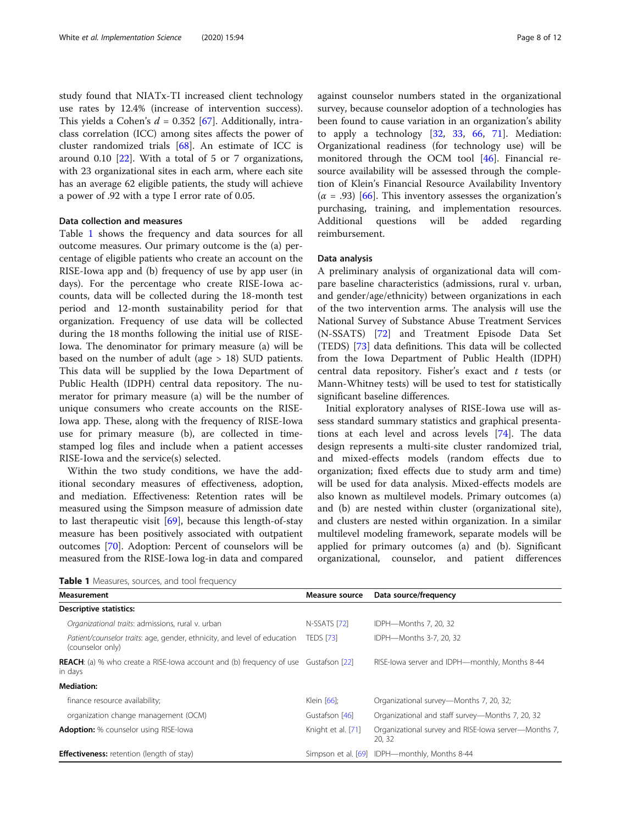study found that NIATx-TI increased client technology use rates by 12.4% (increase of intervention success). This yields a Cohen's  $d = 0.352$  [[67\]](#page-11-0). Additionally, intraclass correlation (ICC) among sites affects the power of cluster randomized trials [[68](#page-11-0)]. An estimate of ICC is around 0.10  $[22]$  $[22]$ . With a total of 5 or 7 organizations, with 23 organizational sites in each arm, where each site has an average 62 eligible patients, the study will achieve a power of .92 with a type I error rate of 0.05.

#### Data collection and measures

Table 1 shows the frequency and data sources for all outcome measures. Our primary outcome is the (a) percentage of eligible patients who create an account on the RISE-Iowa app and (b) frequency of use by app user (in days). For the percentage who create RISE-Iowa accounts, data will be collected during the 18-month test period and 12-month sustainability period for that organization. Frequency of use data will be collected during the 18 months following the initial use of RISE-Iowa. The denominator for primary measure (a) will be based on the number of adult (age > 18) SUD patients. This data will be supplied by the Iowa Department of Public Health (IDPH) central data repository. The numerator for primary measure (a) will be the number of unique consumers who create accounts on the RISE-Iowa app. These, along with the frequency of RISE-Iowa use for primary measure (b), are collected in timestamped log files and include when a patient accesses RISE-Iowa and the service(s) selected.

Within the two study conditions, we have the additional secondary measures of effectiveness, adoption, and mediation. Effectiveness: Retention rates will be measured using the Simpson measure of admission date to last therapeutic visit  $[69]$  $[69]$ , because this length-of-stay measure has been positively associated with outpatient outcomes [\[70](#page-11-0)]. Adoption: Percent of counselors will be measured from the RISE-Iowa log-in data and compared against counselor numbers stated in the organizational survey, because counselor adoption of a technologies has been found to cause variation in an organization's ability to apply a technology  $[32, 33, 66, 71]$  $[32, 33, 66, 71]$  $[32, 33, 66, 71]$  $[32, 33, 66, 71]$  $[32, 33, 66, 71]$  $[32, 33, 66, 71]$  $[32, 33, 66, 71]$  $[32, 33, 66, 71]$ . Mediation: Organizational readiness (for technology use) will be monitored through the OCM tool [[46\]](#page-10-0). Financial resource availability will be assessed through the completion of Klein's Financial Resource Availability Inventory  $(\alpha = .93)$  [[66\]](#page-11-0). This inventory assesses the organization's purchasing, training, and implementation resources. Additional questions will be added regarding reimbursement.

#### Data analysis

A preliminary analysis of organizational data will compare baseline characteristics (admissions, rural v. urban, and gender/age/ethnicity) between organizations in each of the two intervention arms. The analysis will use the National Survey of Substance Abuse Treatment Services (N-SSATS) [\[72\]](#page-11-0) and Treatment Episode Data Set (TEDS) [\[73\]](#page-11-0) data definitions. This data will be collected from the Iowa Department of Public Health (IDPH) central data repository. Fisher's exact and  $t$  tests (or Mann-Whitney tests) will be used to test for statistically significant baseline differences.

Initial exploratory analyses of RISE-Iowa use will assess standard summary statistics and graphical presentations at each level and across levels [[74\]](#page-11-0). The data design represents a multi-site cluster randomized trial, and mixed-effects models (random effects due to organization; fixed effects due to study arm and time) will be used for data analysis. Mixed-effects models are also known as multilevel models. Primary outcomes (a) and (b) are nested within cluster (organizational site), and clusters are nested within organization. In a similar multilevel modeling framework, separate models will be applied for primary outcomes (a) and (b). Significant organizational, counselor, and patient differences

| Table 1 Measures, sources, and tool frequency |  |  |  |  |  |  |
|-----------------------------------------------|--|--|--|--|--|--|
|-----------------------------------------------|--|--|--|--|--|--|

| <b>Measurement</b>                                                                                    | Measure source                        | Data source/frequency                                          |  |
|-------------------------------------------------------------------------------------------------------|---------------------------------------|----------------------------------------------------------------|--|
| <b>Descriptive statistics:</b>                                                                        |                                       |                                                                |  |
| Organizational traits: admissions, rural v. urban                                                     | N-SSATS [72]<br>IDPH-Months 7, 20, 32 |                                                                |  |
| Patient/counselor traits: age, gender, ethnicity, and level of education<br>(counselor only)          | <b>TEDS</b> [73]                      | IDPH-Months 3-7, 20, 32                                        |  |
| <b>REACH:</b> (a) % who create a RISE-lowa account and (b) frequency of use Gustafson [22]<br>in days |                                       | RISE-lowa server and IDPH—monthly, Months 8-44                 |  |
| <b>Mediation:</b>                                                                                     |                                       |                                                                |  |
| finance resource availability;                                                                        | Klein [66];                           | Organizational survey—Months 7, 20, 32;                        |  |
| organization change management (OCM)                                                                  | Gustafson [46]                        | Organizational and staff survey—Months 7, 20, 32               |  |
| <b>Adoption:</b> % counselor using RISE-lowa                                                          | Knight et al. [71]                    | Organizational survey and RISE-lowa server-Months 7,<br>20, 32 |  |
| <b>Effectiveness:</b> retention (length of stay)                                                      |                                       | Simpson et al. [69] IDPH—monthly, Months 8-44                  |  |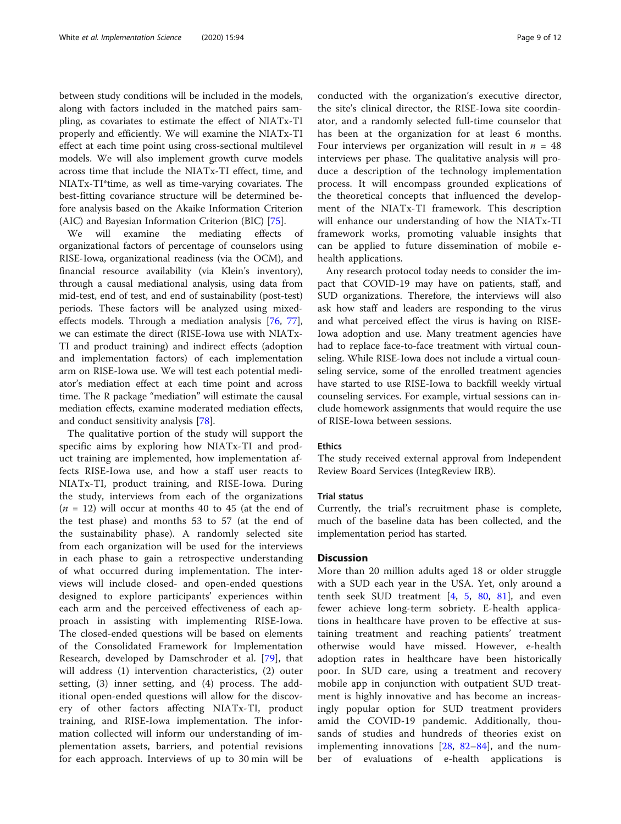between study conditions will be included in the models, along with factors included in the matched pairs sampling, as covariates to estimate the effect of NIATx-TI properly and efficiently. We will examine the NIATx-TI effect at each time point using cross-sectional multilevel models. We will also implement growth curve models across time that include the NIATx-TI effect, time, and NIATx-TI\*time, as well as time-varying covariates. The best-fitting covariance structure will be determined before analysis based on the Akaike Information Criterion (AIC) and Bayesian Information Criterion (BIC) [\[75](#page-11-0)].

We will examine the mediating effects of organizational factors of percentage of counselors using RISE-Iowa, organizational readiness (via the OCM), and financial resource availability (via Klein's inventory), through a causal mediational analysis, using data from mid-test, end of test, and end of sustainability (post-test) periods. These factors will be analyzed using mixedeffects models. Through a mediation analysis [[76](#page-11-0), [77](#page-11-0)], we can estimate the direct (RISE-Iowa use with NIATx-TI and product training) and indirect effects (adoption and implementation factors) of each implementation arm on RISE-Iowa use. We will test each potential mediator's mediation effect at each time point and across time. The R package "mediation" will estimate the causal mediation effects, examine moderated mediation effects, and conduct sensitivity analysis [\[78](#page-11-0)].

The qualitative portion of the study will support the specific aims by exploring how NIATx-TI and product training are implemented, how implementation affects RISE-Iowa use, and how a staff user reacts to NIATx-TI, product training, and RISE-Iowa. During the study, interviews from each of the organizations  $(n = 12)$  will occur at months 40 to 45 (at the end of the test phase) and months 53 to 57 (at the end of the sustainability phase). A randomly selected site from each organization will be used for the interviews in each phase to gain a retrospective understanding of what occurred during implementation. The interviews will include closed- and open-ended questions designed to explore participants' experiences within each arm and the perceived effectiveness of each approach in assisting with implementing RISE-Iowa. The closed-ended questions will be based on elements of the Consolidated Framework for Implementation Research, developed by Damschroder et al. [[79\]](#page-11-0), that will address (1) intervention characteristics, (2) outer setting, (3) inner setting, and (4) process. The additional open-ended questions will allow for the discovery of other factors affecting NIATx-TI, product training, and RISE-Iowa implementation. The information collected will inform our understanding of implementation assets, barriers, and potential revisions for each approach. Interviews of up to 30 min will be conducted with the organization's executive director, the site's clinical director, the RISE-Iowa site coordinator, and a randomly selected full-time counselor that has been at the organization for at least 6 months. Four interviews per organization will result in  $n = 48$ interviews per phase. The qualitative analysis will produce a description of the technology implementation process. It will encompass grounded explications of the theoretical concepts that influenced the development of the NIATx-TI framework. This description will enhance our understanding of how the NIATx-TI framework works, promoting valuable insights that can be applied to future dissemination of mobile ehealth applications.

Any research protocol today needs to consider the impact that COVID-19 may have on patients, staff, and SUD organizations. Therefore, the interviews will also ask how staff and leaders are responding to the virus and what perceived effect the virus is having on RISE-Iowa adoption and use. Many treatment agencies have had to replace face-to-face treatment with virtual counseling. While RISE-Iowa does not include a virtual counseling service, some of the enrolled treatment agencies have started to use RISE-Iowa to backfill weekly virtual counseling services. For example, virtual sessions can include homework assignments that would require the use of RISE-Iowa between sessions.

#### Ethics

The study received external approval from Independent Review Board Services (IntegReview IRB).

#### Trial status

Currently, the trial's recruitment phase is complete, much of the baseline data has been collected, and the implementation period has started.

#### **Discussion**

More than 20 million adults aged 18 or older struggle with a SUD each year in the USA. Yet, only around a tenth seek SUD treatment [\[4](#page-9-0), [5](#page-9-0), [80,](#page-11-0) [81\]](#page-11-0), and even fewer achieve long-term sobriety. E-health applications in healthcare have proven to be effective at sustaining treatment and reaching patients' treatment otherwise would have missed. However, e-health adoption rates in healthcare have been historically poor. In SUD care, using a treatment and recovery mobile app in conjunction with outpatient SUD treatment is highly innovative and has become an increasingly popular option for SUD treatment providers amid the COVID-19 pandemic. Additionally, thousands of studies and hundreds of theories exist on implementing innovations [[28](#page-10-0), [82](#page-11-0)–[84](#page-11-0)], and the number of evaluations of e-health applications is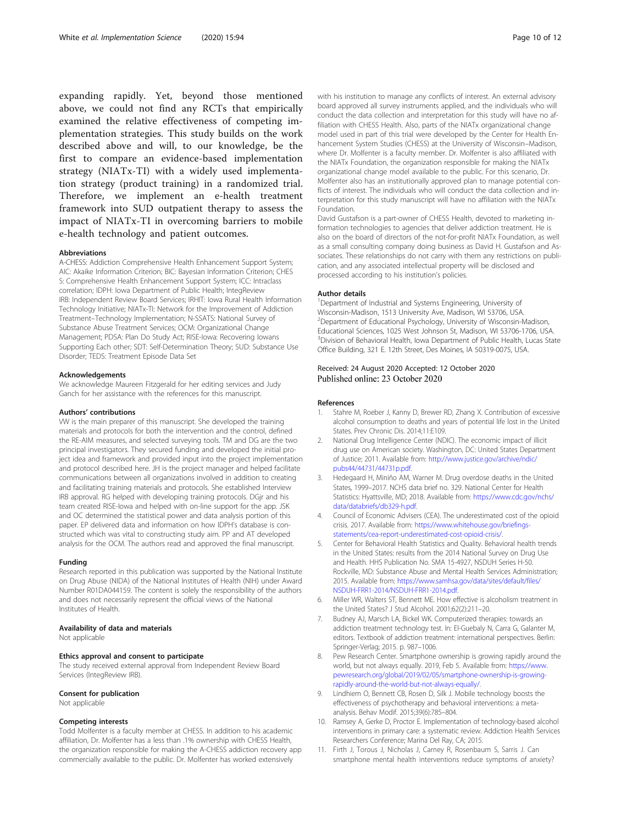<span id="page-9-0"></span>expanding rapidly. Yet, beyond those mentioned above, we could not find any RCTs that empirically examined the relative effectiveness of competing implementation strategies. This study builds on the work described above and will, to our knowledge, be the first to compare an evidence-based implementation strategy (NIATx-TI) with a widely used implementation strategy (product training) in a randomized trial. Therefore, we implement an e-health treatment framework into SUD outpatient therapy to assess the impact of NIATx-TI in overcoming barriers to mobile e-health technology and patient outcomes.

#### Abbreviations

A-CHESS: Addiction Comprehensive Health Enhancement Support System; AIC: Akaike Information Criterion; BIC: Bayesian Information Criterion; CHES S: Comprehensive Health Enhancement Support System; ICC: Intraclass correlation; IDPH: Iowa Department of Public Health; IntegReview IRB: Independent Review Board Services; IRHIT: Iowa Rural Health Information Technology Initiative; NIATx-TI: Network for the Improvement of Addiction Treatment–Technology Implementation; N-SSATS: National Survey of Substance Abuse Treatment Services; OCM: Organizational Change Management; PDSA: Plan Do Study Act; RISE-Iowa: Recovering Iowans Supporting Each other; SDT: Self-Determination Theory; SUD: Substance Use Disorder; TEDS: Treatment Episode Data Set

#### Acknowledgements

We acknowledge Maureen Fitzgerald for her editing services and Judy Ganch for her assistance with the references for this manuscript.

#### Authors' contributions

VW is the main preparer of this manuscript. She developed the training materials and protocols for both the intervention and the control, defined the RE-AIM measures, and selected surveying tools. TM and DG are the two principal investigators. They secured funding and developed the initial project idea and framework and provided input into the project implementation and protocol described here. JH is the project manager and helped facilitate communications between all organizations involved in addition to creating and facilitating training materials and protocols. She established Interview IRB approval. RG helped with developing training protocols. DGjr and his team created RISE-Iowa and helped with on-line support for the app. JSK and OC determined the statistical power and data analysis portion of this paper. EP delivered data and information on how IDPH's database is constructed which was vital to constructing study aim. PP and AT developed analysis for the OCM. The authors read and approved the final manuscript.

#### Funding

Research reported in this publication was supported by the National Institute on Drug Abuse (NIDA) of the National Institutes of Health (NIH) under Award Number R01DA044159. The content is solely the responsibility of the authors and does not necessarily represent the official views of the National Institutes of Health.

#### Availability of data and materials

Not applicable

#### Ethics approval and consent to participate

The study received external approval from Independent Review Board Services (IntegReview IRB).

#### Consent for publication

Not applicable

#### Competing interests

Todd Molfenter is a faculty member at CHESS. In addition to his academic affiliation, Dr. Molfenter has a less than .1% ownership with CHESS Health, the organization responsible for making the A-CHESS addiction recovery app commercially available to the public. Dr. Molfenter has worked extensively

with his institution to manage any conflicts of interest. An external advisory board approved all survey instruments applied, and the individuals who will conduct the data collection and interpretation for this study will have no affiliation with CHESS Health. Also, parts of the NIATx organizational change model used in part of this trial were developed by the Center for Health Enhancement System Studies (CHESS) at the University of Wisconsin–Madison, where Dr. Molfenter is a faculty member. Dr. Molfenter is also affiliated with the NIATx Foundation, the organization responsible for making the NIATx organizational change model available to the public. For this scenario, Dr. Molfenter also has an institutionally approved plan to manage potential conflicts of interest. The individuals who will conduct the data collection and interpretation for this study manuscript will have no affiliation with the NIATx Foundation.

David Gustafson is a part-owner of CHESS Health, devoted to marketing information technologies to agencies that deliver addiction treatment. He is also on the board of directors of the not-for-profit NIATx Foundation, as well as a small consulting company doing business as David H. Gustafson and Associates. These relationships do not carry with them any restrictions on publication, and any associated intellectual property will be disclosed and processed according to his institution's policies.

#### Author details

<sup>1</sup>Department of Industrial and Systems Engineering, University of Wisconsin-Madison, 1513 University Ave, Madison, WI 53706, USA. <sup>2</sup>Department of Educational Psychology, University of Wisconsin-Madison, Educational Sciences, 1025 West Johnson St, Madison, WI 53706-1706, USA. <sup>3</sup> Division of Behavioral Health, Iowa Department of Public Health, Lucas State Office Building, 321 E. 12th Street, Des Moines, IA 50319-0075, USA.

#### Received: 24 August 2020 Accepted: 12 October 2020 Published online: 23 October 2020

#### References

- 1. Stahre M, Roeber J, Kanny D, Brewer RD, Zhang X. Contribution of excessive alcohol consumption to deaths and years of potential life lost in the United States. Prev Chronic Dis. 2014;11:E109.
- 2. National Drug Intelligence Center (NDIC). The economic impact of illicit drug use on American society. Washington, DC: United States Department of Justice; 2011. Available from: [http://www.justice.gov/archive/ndic/](http://www.justice.gov/archive/ndic/pubs44/44731/44731p.pdf) [pubs44/44731/44731p.pdf](http://www.justice.gov/archive/ndic/pubs44/44731/44731p.pdf).
- 3. Hedegaard H, Miniño AM, Warner M. Drug overdose deaths in the United States, 1999–2017. NCHS data brief no. 329. National Center for Health Statistics: Hyattsville, MD; 2018. Available from: [https://www.cdc.gov/nchs/](https://www.cdc.gov/nchs/data/databriefs/db329-h.pdf) [data/databriefs/db329-h.pdf](https://www.cdc.gov/nchs/data/databriefs/db329-h.pdf).
- 4. Council of Economic Advisers (CEA). The underestimated cost of the opioid crisis. 2017. Available from: [https://www.whitehouse.gov/briefings](https://www.whitehouse.gov/briefings-statements/cea-report-underestimated-cost-opioid-crisis/)[statements/cea-report-underestimated-cost-opioid-crisis/](https://www.whitehouse.gov/briefings-statements/cea-report-underestimated-cost-opioid-crisis/).
- 5. Center for Behavioral Health Statistics and Quality. Behavioral health trends in the United States: results from the 2014 National Survey on Drug Use and Health. HHS Publication No. SMA 15-4927, NSDUH Series H-50. Rockville, MD: Substance Abuse and Mental Health Services Administration; 2015. Available from: [https://www.samhsa.gov/data/sites/default/files/](https://www.samhsa.gov/data/sites/default/files/NSDUH-FRR1-2014/NSDUH-FRR1-2014.pdf) [NSDUH-FRR1-2014/NSDUH-FRR1-2014.pdf.](https://www.samhsa.gov/data/sites/default/files/NSDUH-FRR1-2014/NSDUH-FRR1-2014.pdf)
- 6. Miller WR, Walters ST, Bennett ME. How effective is alcoholism treatment in the United States? J Stud Alcohol. 2001;62(2):211–20.
- 7. Budney AJ, Marsch LA, Bickel WK. Computerized therapies: towards an addiction treatment technology test. In: El-Guebaly N, Carra G, Galanter M, editors. Textbook of addiction treatment: international perspectives. Berlin: Springer-Verlag; 2015. p. 987–1006.
- Pew Research Center. Smartphone ownership is growing rapidly around the world, but not always equally. 2019, Feb 5. Available from: [https://www.](https://www.pewresearch.org/global/2019/02/05/smartphone-ownership-is-growing-rapidly-around-the-world-but-not-always-equally/) [pewresearch.org/global/2019/02/05/smartphone-ownership-is-growing](https://www.pewresearch.org/global/2019/02/05/smartphone-ownership-is-growing-rapidly-around-the-world-but-not-always-equally/)[rapidly-around-the-world-but-not-always-equally/](https://www.pewresearch.org/global/2019/02/05/smartphone-ownership-is-growing-rapidly-around-the-world-but-not-always-equally/).
- 9. Lindhiem O, Bennett CB, Rosen D, Silk J. Mobile technology boosts the effectiveness of psychotherapy and behavioral interventions: a metaanalysis. Behav Modif. 2015;39(6):785–804.
- 10. Ramsey A, Gerke D, Proctor E. Implementation of technology-based alcohol interventions in primary care: a systematic review. Addiction Health Services Researchers Conference; Marina Del Ray, CA; 2015.
- 11. Firth J, Torous J, Nicholas J, Carney R, Rosenbaum S, Sarris J. Can smartphone mental health interventions reduce symptoms of anxiety?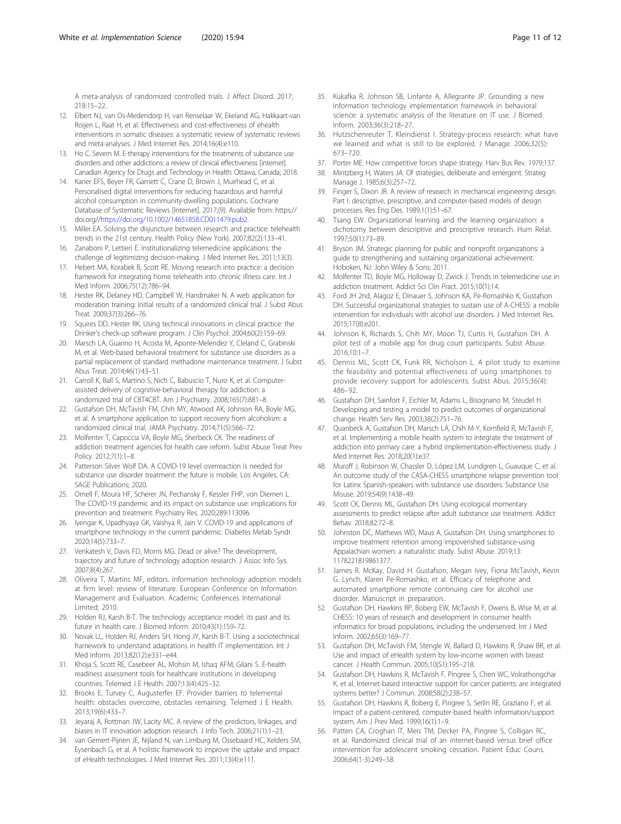<span id="page-10-0"></span>A meta-analysis of randomized controlled trials. J Affect Disord. 2017; 218:15–22.

- 12. Elbert NJ, van Os-Medendorp H, van Renselaar W, Ekeland AG, Hakkaart-van Roijen L, Raat H, et al. Effectiveness and cost-effectiveness of ehealth interventions in somatic diseases: a systematic review of systematic reviews and meta-analyses. J Med Internet Res. 2014;16(4):e110.
- 13. Ho C, Severn M. E-therapy interventions for the treatments of substance use disorders and other addictions: a review of clinical effectiveness [internet]. Canadian Agency for Drugs and Technology in Health: Ottawa, Canada; 2018.
- 14. Kaner EFS, Beyer FR, Garnett C, Crane D, Brown J, Muirhead C, et al. Personalised digital interventions for reducing hazardous and harmful alcohol consumption in community-dwelling populations. Cochrane Database of Systematic Reviews [Internet]. 2017;(9). Available from: https:// doi.org//<https://doi.org/10.1002/14651858.CD011479.pub2>.
- 15. Miller EA. Solving the disjuncture between research and practice: telehealth trends in the 21st century. Health Policy (New York). 2007;82(2):133–41.
- 16. Zanaboni P, Lettieri E. Institutionalizing telemedicine applications: the challenge of legitimizing decision-making. J Med Internet Res. 2011;13(3).
- 17. Hebert MA, Korabek B, Scott RE. Moving research into practice: a decision framework for integrating home telehealth into chronic illness care. Int J Med Inform. 2006;75(12):786–94.
- 18. Hester RK, Delaney HD, Campbell W, Handmaker N. A web application for moderation training: initial results of a randomized clinical trial. J Subst Abus Treat. 2009;37(3):266–76.
- Squires DD, Hester RK. Using technical innovations in clinical practice: the Drinker's check-up software program. J Clin Psychol. 2004;60(2):159–69.
- 20. Marsch LA, Guarino H, Acosta M, Aponte-Melendez Y, Cleland C, Grabinski M, et al. Web-based behavioral treatment for substance use disorders as a partial replacement of standard methadone maintenance treatment. J Subst Abus Treat. 2014;46(1):43–51.
- 21. Carroll K, Ball S, Martino S, Nich C, Babuscio T, Nuro K, et al. Computerassisted delivery of cognitive-behavioral therapy for addiction: a randomized trial of CBT4CBT. Am J Psychiatry. 2008;165(7):881–8.
- 22. Gustafson DH, McTavish FM, Chih MY, Atwood AK, Johnson RA, Boyle MG, et al. A smartphone application to support recovery from alcoholism: a randomized clinical trial. JAMA Psychiatry. 2014;71(5):566–72.
- 23. Molfenter T, Capoccia VA, Boyle MG, Sherbeck CK. The readiness of addiction treatment agencies for health care reform. Subst Abuse Treat Prev Policy. 2012;7(1):1–8.
- 24. Patterson Silver Wolf DA. A COVID-19 level overreaction is needed for substance use disorder treatment: the future is mobile. Los Angeles, CA: SAGE Publications; 2020.
- 25. Ornell F, Moura HF, Scherer JN, Pechansky F, Kessler FHP, von Diemen L. The COVID-19 pandemic and its impact on substance use: implications for prevention and treatment. Psychiatry Res. 2020;289:113096.
- 26. Iyengar K, Upadhyaya GK, Vaishya R, Jain V. COVID-19 and applications of smartphone technology in the current pandemic. Diabetes Metab Syndr. 2020;14(5):733–7.
- 27. Venkatesh V, Davis FD, Morris MG. Dead or alive? The development, trajectory and future of technology adoption research. J Assoc Info Sys. 2007;8(4):267.
- 28. Oliveira T, Martins MF, editors. Information technology adoption models at firm level: review of literature. European Conference on Information Management and Evaluation. Academic Conferences International Limited; 2010.
- 29. Holden RJ, Karsh B-T. The technology acceptance model: its past and its future in health care. J Biomed Inform. 2010;43(1):159–72.
- 30. Novak LL, Holden RJ, Anders SH, Hong JY, Karsh B-T. Using a sociotechnical framework to understand adaptations in health IT implementation. Int J Med Inform. 2013;82(12):e331–e44.
- 31. Khoja S, Scott RE, Casebeer AL, Mohsin M, Ishaq AFM, Gilani S. E-health readiness assessment tools for healthcare institutions in developing countries. Telemed J E Health. 2007;13(4):425–32.
- 32. Brooks E, Turvey C, Augusterfer EF. Provider barriers to telemental health: obstacles overcome, obstacles remaining. Telemed J E Health. 2013;19(6):433–7.
- 33. Jeyaraj A, Rottman JW, Lacity MC. A review of the predictors, linkages, and biases in IT innovation adoption research. J Info Tech. 2006;21(1):1–23.
- 34. van Gemert-Pijnen JE, Nijland N, van Limburg M, Ossebaard HC, Kelders SM, Eysenbach G, et al. A holistic framework to improve the uptake and impact of eHealth technologies. J Med Internet Res. 2011;13(4):e111.
- 35. Kukafka R, Johnson SB, Linfante A, Allegrante JP. Grounding a new information technology implementation framework in behavioral science: a systematic analysis of the literature on IT use. J Biomed Inform. 2003;36(3):218–27.
- 36. Hutzschenreuter T, Kleindienst I. Strategy-process research: what have we learned and what is still to be explored. J Manage. 2006;32(5): 673–720.
- 37. Porter ME. How competitive forces shape strategy. Harv Bus Rev. 1979;137.
- 38. Mintzberg H, Waters JA. Of strategies, deliberate and emergent. Strateg Manage J. 1985;6(3):257–72.
- 39. Finger S, Dixon JR. A review of research in mechanical engineering design. Part I: descriptive, prescriptive, and computer-based models of design processes. Res Eng Des. 1989;1(1):51–67.
- 40. Tsang EW. Organizational learning and the learning organization: a dichotomy between descriptive and prescriptive research. Hum Relat. 1997;50(1):73–89.
- 41. Bryson JM. Strategic planning for public and nonprofit organizations: a guide to strengthening and sustaining organizational achievement. Hoboken, NJ: John Wiley & Sons; 2011.
- 42. Molfenter TD, Boyle MG, Holloway D, Zwick J. Trends in telemedicine use in addiction treatment. Addict Sci Clin Pract. 2015;10(1):14.
- 43. Ford JH 2nd, Alagoz E, Dinauer S, Johnson KA, Pe-Romashko K, Gustafson DH. Successful organizational strategies to sustain use of A-CHESS: a mobile intervention for individuals with alcohol use disorders. J Med Internet Res. 2015;17(8):e201.
- 44. Johnson K, Richards S, Chih MY, Moon TJ, Curtis H, Gustafson DH. A pilot test of a mobile app for drug court participants. Subst Abuse. 2016;10:1–7.
- 45. Dennis ML, Scott CK, Funk RR, Nicholson L. A pilot study to examine the feasibility and potential effectiveness of using smartphones to provide recovery support for adolescents. Subst Abus. 2015;36(4): 486–92.
- 46. Gustafson DH, Sainfort F, Eichler M, Adams L, Bisognano M, Steudel H. Developing and testing a model to predict outcomes of organizational change. Health Serv Res. 2003;38(2):751–76.
- 47. Quanbeck A, Gustafson DH, Marsch LA, Chih M-Y, Kornfield R, McTavish F, et al. Implementing a mobile health system to integrate the treatment of addiction into primary care: a hybrid implementation-effectiveness study. J Med Internet Res. 2018;20(1):e37.
- 48. Muroff J, Robinson W, Chassler D, López LM, Lundgren L, Guauque C, et al. An outcome study of the CASA-CHESS smartphone relapse prevention tool for Latinx Spanish-speakers with substance use disorders. Substance Use Misuse. 2019;54(9):1438–49.
- 49. Scott CK, Dennis ML, Gustafson DH. Using ecological momentary assessments to predict relapse after adult substance use treatment. Addict Behav. 2018;82:72–8.
- Johnston DC, Mathews WD, Maus A, Gustafson DH. Using smartphones to improve treatment retention among impoverished substance-using Appalachian women: a naturalistic study. Subst Abuse. 2019;13: 1178221819861377.
- 51. James R. McKay, David H. Gustafson, Megan Ivey, Fiona McTavish, Kevin G. Lynch, Klaren Pe-Romashko, et al. Efficacy of telephone and automated smartphone remote continuing care for alcohol use disorder. Manuscript in preparation..
- 52. Gustafson DH, Hawkins RP, Boberg EW, McTavish F, Owens B, Wise M, et al. CHESS: 10 years of research and development in consumer health informatics for broad populations, including the underserved. Int J Med Inform. 2002;65(3):169–77.
- 53. Gustafson DH, McTavish FM, Stengle W, Ballard D, Hawkins R, Shaw BR, et al. Use and impact of eHealth system by low-income women with breast cancer. J Health Commun. 2005;10(S1):195–218.
- 54. Gustafson DH, Hawkins R, McTavish F, Pingree S, Chen WC, Volrathongchai K, et al. Internet-based interactive support for cancer patients: are integrated systems better? J Commun. 2008;58(2):238–57.
- 55. Gustafson DH, Hawkins R, Boberg E, Pingree S, Serlin RE, Graziano F, et al. Impact of a patient-centered, computer-based health information/support system. Am J Prev Med. 1999;16(1):1–9.
- 56. Patten CA, Croghan IT, Meis TM, Decker PA, Pingree S, Colligan RC, et al. Randomized clinical trial of an internet-based versus brief office intervention for adolescent smoking cessation. Patient Educ Couns. 2006;64(1-3):249–58.